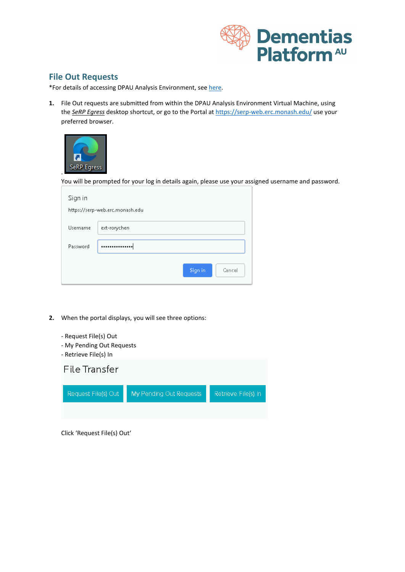

## **File Out Requests**

\*For details of accessing DPAU Analysis Environment, see [here.](https://dementiasplatform.com.au/sites/default/files/documents/1_Logging_in_to_DPAU_Analysis_Environment.pdf)

**1.** File Out requests are submitted from within the DPAU Analysis Environment Virtual Machine, using the *SeRP Egress* desktop shortcut, or go to the Portal at<https://serp-web.erc.monash.edu/> use your preferred browser.



You will be prompted for your log in details again, please use your assigned username and password.

| Sign in  | https://serp-web.erc.monash.edu |
|----------|---------------------------------|
| Username | ext-rorychen                    |
| Password |                                 |
|          | Sign in<br>Cancel               |

- **2.** When the portal displays, you will see three options:
	- Request File(s) Out
	- My Pending Out Requests
	- Retrieve File(s) In



Click 'Request File(s) Out'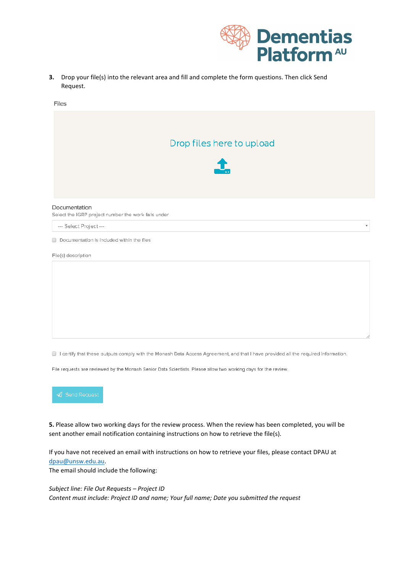

 $\bar{\mathbf{v}}$ 

**3.** Drop your file(s) into the relevant area and fill and complete the form questions. Then click Send Request.





--- Select Project ---

Documentation is included within the files

File(s) description

I certify that these outputs comply with the Monash Data Access Agreement, and that I have provided all the required information.

File requests are reviewed by the Monash Senior Data Scientists. Please allow two working days for the review.



**5.** Please allow two working days for the review process. When the review has been completed, you will be sent another email notification containing instructions on how to retrieve the file(s).

If you have not received an email with instructions on how to retrieve your files, please contact DPAU at [dpau@unsw.edu.au.](mailto:dpau@unsw.edu.au)

The email should include the following:

*Subject line: File Out Requests – Project ID Content must include: Project ID and name; Your full name; Date you submitted the request*